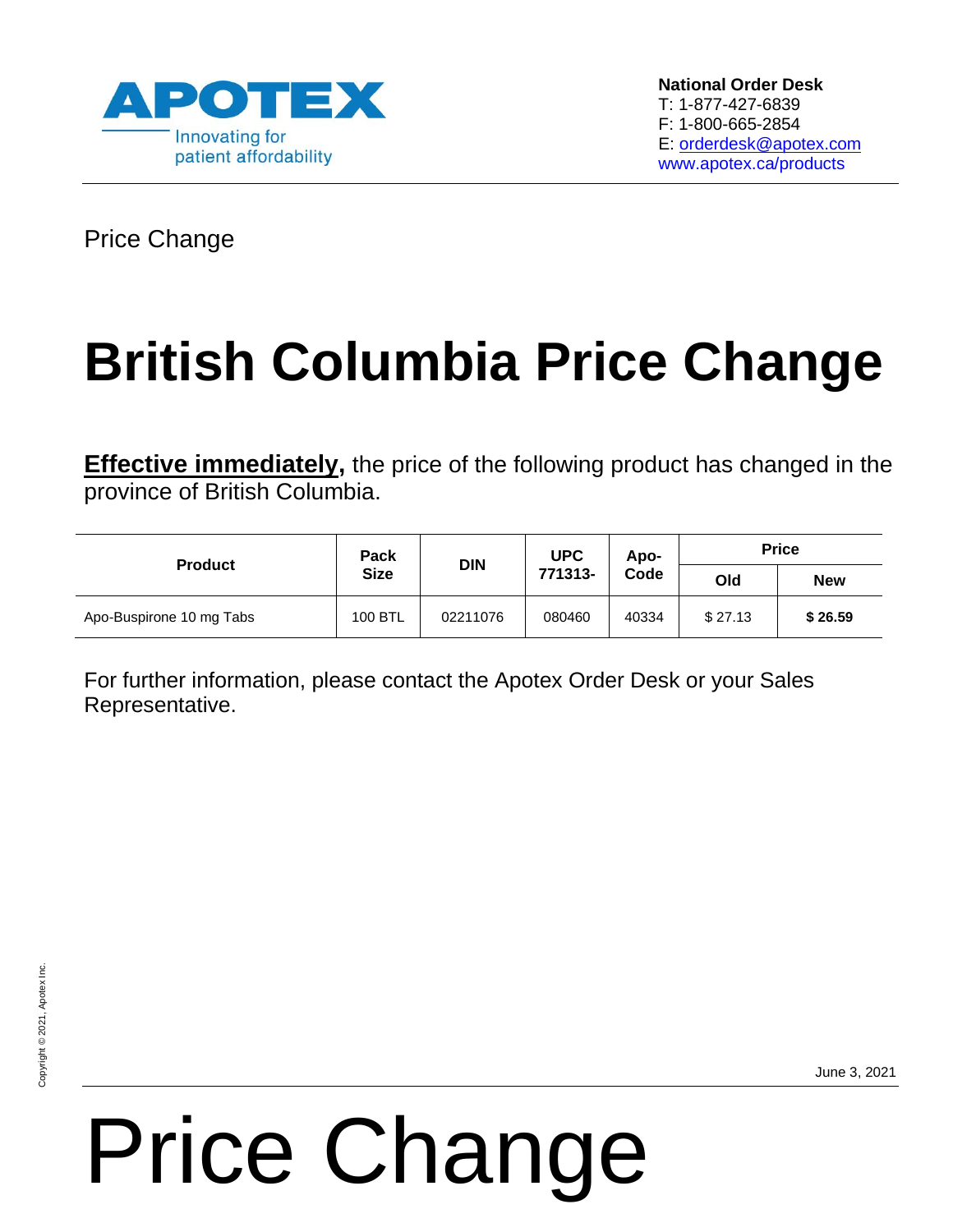

Price Change

## **British Columbia Price Change**

**Effective immediately,** the price of the following product has changed in the province of British Columbia.

| <b>Product</b>           | Pack<br><b>Size</b> | <b>DIN</b> | <b>UPC</b><br>771313- | Apo-<br>Code | <b>Price</b> |            |
|--------------------------|---------------------|------------|-----------------------|--------------|--------------|------------|
|                          |                     |            |                       |              | Old          | <b>New</b> |
| Apo-Buspirone 10 mg Tabs | 100 BTL             | 02211076   | 080460                | 40334        | \$27.13      | \$26.59    |

For further information, please contact the Apotex Order Desk or your Sales Representative.

# Price Change

June 3, 2021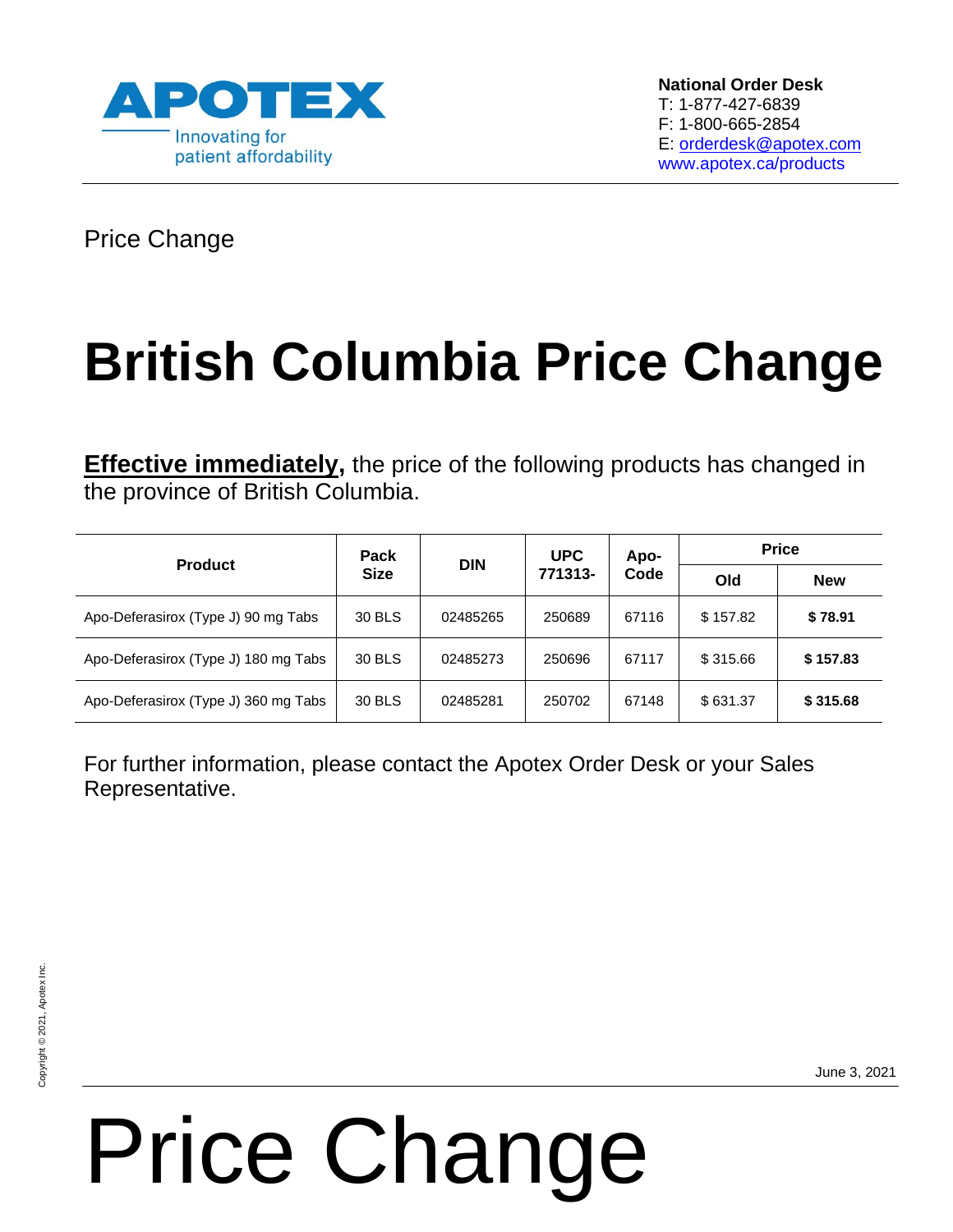

Price Change

## **British Columbia Price Change**

**Effective immediately,** the price of the following products has changed in the province of British Columbia.

| <b>Product</b>                       | Pack<br><b>Size</b> | <b>DIN</b> | <b>UPC</b><br>771313- | Apo-<br>Code | <b>Price</b> |            |
|--------------------------------------|---------------------|------------|-----------------------|--------------|--------------|------------|
|                                      |                     |            |                       |              | Old          | <b>New</b> |
| Apo-Deferasirox (Type J) 90 mg Tabs  | 30 BLS              | 02485265   | 250689                | 67116        | \$157.82     | \$78.91    |
| Apo-Deferasirox (Type J) 180 mg Tabs | 30 BLS              | 02485273   | 250696                | 67117        | \$315.66     | \$157.83   |
| Apo-Deferasirox (Type J) 360 mg Tabs | 30 BLS              | 02485281   | 250702                | 67148        | \$631.37     | \$315.68   |

For further information, please contact the Apotex Order Desk or your Sales Representative.

Price Change

June 3, 2021